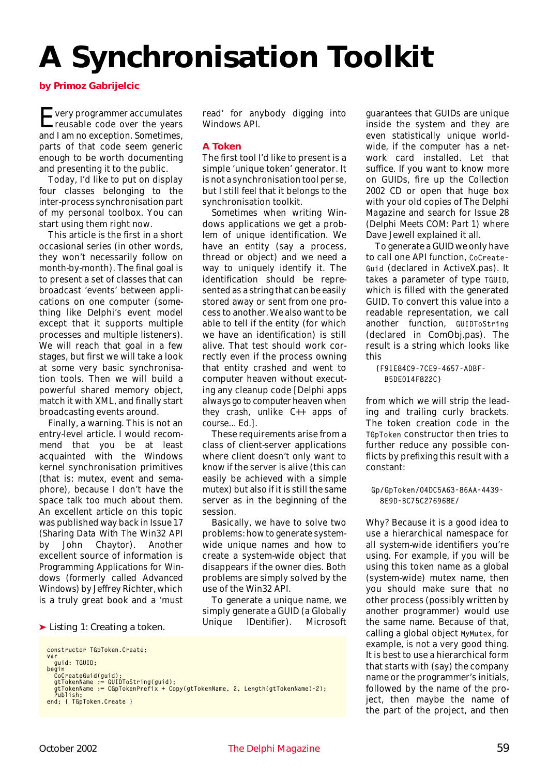# **A Synchronisation Toolkit**

*by Primoz Gabrijelcic*

Every programmer accumulates reusable code over the years and I am no exception. Sometimes, parts of that code seem generic enough to be worth documenting and presenting it to the public.

Today, I'd like to put on display four classes belonging to the inter-process synchronisation part of my personal toolbox. You can start using them right now.

This article is the first in a short occasional series (in other words, they won't necessarily follow on month-by-month). The final goal is to present a set of classes that can broadcast 'events' between applications on one computer (something like Delphi's event model except that it supports multiple processes and multiple listeners). We will reach that goal in a few stages, but first we will take a look at some very basic synchronisation tools. Then we will build a powerful shared memory object, match it with XML, and finally start broadcasting events around.

Finally, a warning. This is not an entry-level article. I would recommend that you be at least acquainted with the Windows kernel synchronisation primitives (that is: mutex, event and semaphore), because I don't have the space talk too much about them. An excellent article on this topic was published way back in Issue 17 (*Sharing Data With The Win32 API* by John Chaytor). Another excellent source of information is *Programming Applications for Windows* (formerly called *Advanced Windows*) by Jeffrey Richter, which is a truly great book and a 'must

#### ➤ *Listing 1: Creating a token.*

```
constructor TGpToken.Create;
var
guid: TGUID;
begin<br>| CoCreateGuid(guid);<br>| gtTokenName := GUIDToString(guid);<br>| publish;<br>| Publish;<br>| gtToken.create }<br>| end; { TGpToken.Create }
```
read' for anybody digging into Windows API.

#### **A Token**

The first tool I'd like to present is a simple 'unique token' generator. It is not a synchronisation tool *per se*, but I still feel that it belongs to the synchronisation toolkit.

Sometimes when writing Windows applications we get a problem of unique identification. We have an entity (say a process, thread or object) and we need a way to uniquely identify it. The identification should be represented as a string that can be easily stored away or sent from one process to another. We also want to be able to tell if the entity (for which we have an identification) is still alive. That test should work correctly even if the process owning that entity crashed and went to computer heaven without executing any cleanup code *[Delphi apps always go to computer heaven when they crash, unlike C++ apps of course... Ed.]*.

These requirements arise from a class of client-server applications where client doesn't only want to know if the server is alive (this can easily be achieved with a simple mutex) but also if it is still the same server as in the beginning of the session.

Basically, we have to solve two problems: how to generate systemwide unique names and how to create a system-wide object that disappears if the owner dies. Both problems are simply solved by the use of the Win32 API.

To generate a unique name, we simply generate a GUID (a Globally Unique IDentifier). Microsoft guarantees that GUIDs are unique inside the system and they are even statistically unique worldwide, if the computer has a network card installed. Let that suffice. If you want to know more on GUIDs, fire up the *Collection 2002 CD* or open that huge box with your old copies of *The Delphi Magazine* and search for Issue 28 (*Delphi Meets COM: Part 1*) where Dave Jewell explained it all.

To generate a GUID we only have to call one API function, CoCreate-Guid (declared in ActiveX.pas). It takes a parameter of type TGUID, which is filled with the generated GUID. To convert this value into a readable representation, we call another function, GUIDToString (declared in ComObj.pas). The result is a string which looks like this

{F91E84C9-7CE9-4657-ADBF-B5DE014F822C}

from which we will strip the leading and trailing curly brackets. The token creation code in the TGpToken constructor then tries to further reduce any possible conflicts by prefixing this result with a constant:

Why? Because it is a good idea to use a hierarchical namespace for all system-wide identifiers you're using. For example, if you will be using this token name as a global (system-wide) mutex name, then you should make sure that no other process (possibly written by another programmer) would use the same name. Because of that, calling a global object MyMutex, for example, is not a very good thing. It is best to use a hierarchical form that starts with (say) the company name or the programmer's initials, followed by the name of the project, then maybe the name of the part of the project, and then

Gp/GpToken/04DC5A63-86AA-4439- 8E9D-BC75C276968E/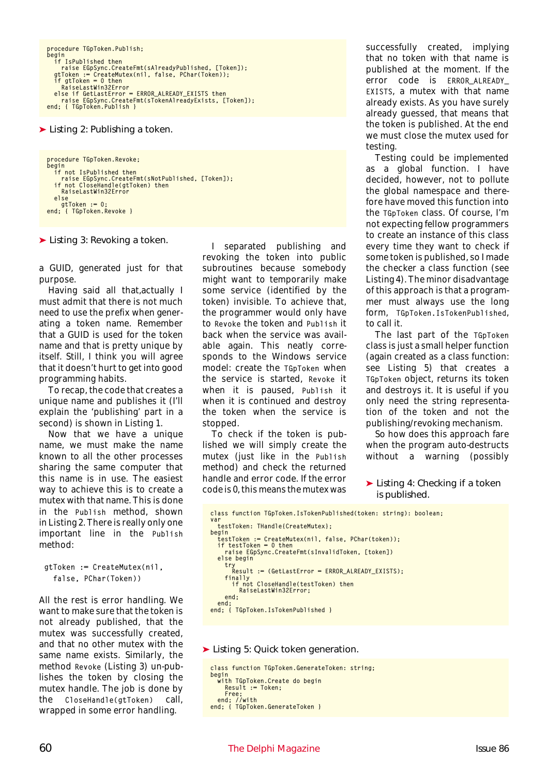```
procedure TGpToken.Publish;
begin
if IsPublished then
   raise EGpSync.CreateFmt(sAlreadyPublished, [Token]);
gtToken := CreateMutex(nil, false, PChar(Token));
if gtToken = 0 then
      RaiseLastWin32Error
   else if GetLastError = ERROR_ALREADY_EXISTS then
raise EGpSync.CreateFmt(sTokenAlreadyExists, [Token]);
end; { TGpToken.Publish }
```
➤ *Listing 2: Publishing a token.*

```
procedure TGpToken.Revoke;
begin
if not IsPublished then
   raise EGpSync.CreateFmt(sNotPublished, [Token]);
if not CloseHandle(gtToken) then
      RaiseLastWin32Error
  else
     gtToken := 0;end; { TGpToken.Revoke }
```
➤ *Listing 3: Revoking a token.*

a GUID, generated just for that purpose.

Having said all that,actually I must admit that there is not much need to use the prefix when generating a token name. Remember that a GUID is used for the token name and that is pretty unique by itself. Still, I think you will agree that it doesn't hurt to get into good programming habits.

To recap, the code that creates a unique name and publishes it (I'll explain the 'publishing' part in a second) is shown in Listing 1.

Now that we have a unique name, we must make the name known to all the other processes sharing the same computer that this name is in use. The easiest way to achieve this is to create a mutex with that name. This is done in the Publish method, shown in Listing 2. There is really only one important line in the Publish method:

```
gtToken := CreateMutex(nil,
  false, PChar(Token))
```
All the rest is error handling. We want to make sure that the token is not already published, that the mutex was successfully created, and that no other mutex with the same name exists. Similarly, the method Revoke (Listing 3) un-publishes the token by closing the mutex handle. The job is done by the CloseHandle(gtToken) call, wrapped in some error handling.

I separated publishing and revoking the token into public subroutines because somebody might want to temporarily make some service (identified by the token) invisible. To achieve that, the programmer would only have to Revoke the token and Publish it back when the service was available again. This neatly corresponds to the Windows service model: create the TGpToken when the service is started, Revoke it when it is paused, Publish it when it is continued and destroy the token when the service is stopped.

To check if the token is published we will simply create the mutex (just like in the Publish method) and check the returned handle and error code. If the error code is 0, this means the mutex was successfully created, implying that no token with that name is published at the moment. If the error code is ERROR\_ALREADY\_ EXISTS, a mutex with that name already exists. As you have surely already guessed, that means that the token is published. At the end we must close the mutex used for testing.

Testing could be implemented as a global function. I have decided, however, not to pollute the global namespace and therefore have moved this function into the TGpToken class. Of course, I'm not expecting fellow programmers to create an instance of this class every time they want to check if some token is published, so I made the checker a class function (see Listing 4). The minor disadvantage of this approach is that a programmer must always use the long form, TGpToken.IsTokenPublished, to call it.

The last part of the TGpToken class is just a small helper function (again created as a class function: see Listing 5) that creates a TGpToken object, returns its token and destroys it. It is useful if you only need the string representation of the token and not the publishing/revoking mechanism.

So how does this approach fare when the program auto-destructs without a warning (possibly

#### ➤ *Listing 4: Checking if a token is published.*

```
class function TGpToken.IsTokenPublished(token: string): boolean;
var
  testToken: THandle{CreateMutex};
begin
  testToken := CreateMutex(nil, false, PChar(token));
  if testToken = 0 then
    raise EGpSync.CreateFmt(sInvalidToken, [token])
  else begin
    try
Result := (GetLastError = ERROR_ALREADY_EXISTS);
    finally<br>if not
         not CloseHandle(testToken) then
        RaiseLastWin32Error;
    end;
end;
end; { TGpToken.IsTokenPublished }
```
➤ *Listing 5: Quick token generation.*

```
class function TGpToken.GenerateToken: string;
begin
  with TGpToken.Create do begin
Result := Token;<br>Free;<br>end; //with<br>end; { TGpToken.GenerateToken }
```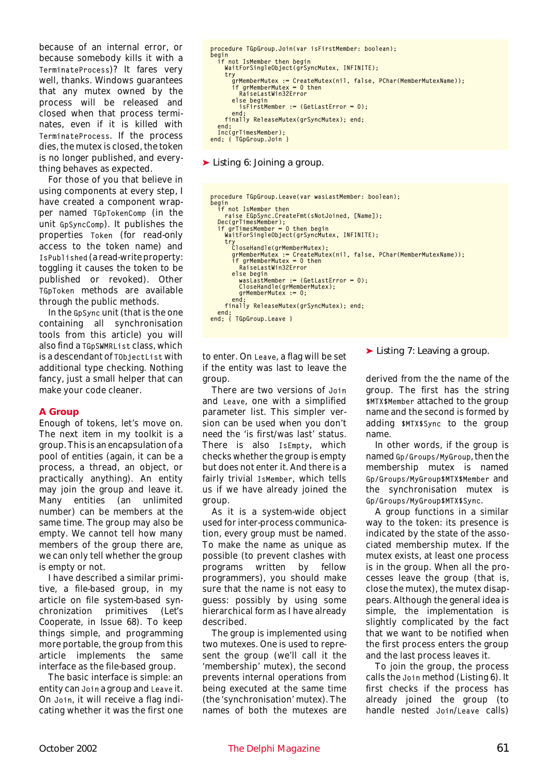because of an internal error, or because somebody kills it with a TerminateProcess)? It fares very well, thanks. Windows guarantees that any mutex owned by the process will be released and closed when that process terminates, even if it is killed with TerminateProcess. If the process dies, the mutex is closed, the token is no longer published, and everything behaves as expected.

For those of you that believe in using components at every step, I have created a component wrapper named TGpTokenComp (in the unit GpSyncComp). It publishes the properties Token (for read-only access to the token name) and IsPublished (a read-write property: toggling it causes the token to be published or revoked). Other TGpToken methods are available through the public methods.

In the GpSync unit (that is the one containing all synchronisation tools from this article) you will also find a TGpSWMRList class, which is a descendant of TObjectList with additional type checking. Nothing fancy, just a small helper that can make your code cleaner.

#### **A Group**

Enough of tokens, let's move on. The next item in my toolkit is a group. This is an encapsulation of a pool of entities (again, it can be a process, a thread, an object, or practically anything). An entity may join the group and leave it. Many entities (an unlimited number) can be members at the same time. The group may also be empty. We cannot tell how many members of the group there are, we can only tell whether the group is empty or not.

I have described a similar primitive, a file-based group, in my article on file system-based synchronization primitives (*Let's Cooperate*, in Issue 68). To keep things simple, and programming more portable, the group from this article implements the same interface as the file-based group.

The basic interface is simple: an entity can Join a group and Leave it. On Join, it will receive a flag indicating whether it was the first one

```
procedure TGpGroup.Join(var isFirstMember: boolean);
begin
if not IsMember then begin
WaitForSingleObject(grSyncMutex, INFINITE);
try
        grMemberMutex := CreateMutex(nil, false, PChar(MemberMutexName));<br>if grMemberMutex = 0 then<br>|RaiseLastWin32Error
        else begin
          isFirstMember := (GetLastError = 0);
     end;
finally ReleaseMutex(grSyncMutex); end;
   end;
Inc(grTimesMember);
end; { TGpGroup.Join }
```
➤ *Listing 6: Joining a group.*

```
procedure TGpGroup.Leave(var wasLastMember: boolean);
begin
if not IsMember then
raise EGpSync.CreateFmt(sNotJoined, [Name]);
Dec(grTimesMember);
if grTimesMember = 0 then begin
WaitForSingleObject(grSyncMutex, INFINITE);
try
     try<br>CloseHandle(grMemberMutex);
         grMemberMutex := CreateMutex(nil, false, PChar(MemberMutexName));<br>if grMemberMutex = 0 then<br>|RaiseLastWin32Error
         else begin
            wasLastMember := (GetLastError = 0):
            CloseHandle(grMemberMutex);
            grMemberMutex := 0;
      end;
finally ReleaseMutex(grSyncMutex); end;
  end;
end: { TGpGroup.Leave }
```
to enter. On Leave, a flag will be set if the entity was last to leave the group.

There are two versions of Join and Leave, one with a simplified parameter list. This simpler version can be used when you don't need the 'is first/was last' status. There is also IsEmpty, which checks whether the group is empty but does not enter it. And there is a fairly trivial IsMember, which tells us if we have already joined the group.

As it is a system-wide object used for inter-process communication, every group must be named. To make the name as unique as possible (to prevent clashes with programs written by fellow programmers), you should make sure that the name is not easy to guess: possibly by using some hierarchical form as I have already described.

The group is implemented using two mutexes. One is used to represent the group (we'll call it the 'membership' mutex), the second prevents internal operations from being executed at the same time (the 'synchronisation' mutex). The names of both the mutexes are

#### ➤ *Listing 7: Leaving a group.*

derived from the the name of the group. The first has the string \$MTX\$Member attached to the group name and the second is formed by adding \$MTX\$Sync to the group name.

In other words, if the group is named Gp/Groups/MyGroup, then the membership mutex is named Gp/Groups/MyGroup\$MTX\$Member and the synchronisation mutex is Gp/Groups/MyGroup\$MTX\$Sync.

A group functions in a similar way to the token: its presence is indicated by the state of the associated membership mutex. If the mutex exists, at least one process is in the group. When all the processes leave the group (that is, close the mutex), the mutex disappears. Although the general idea is simple, the implementation is slightly complicated by the fact that we want to be notified when the first process enters the group and the last process leaves it.

To join the group, the process calls the Join method (Listing 6). It first checks if the process has already joined the group (to handle nested Join/Leave calls)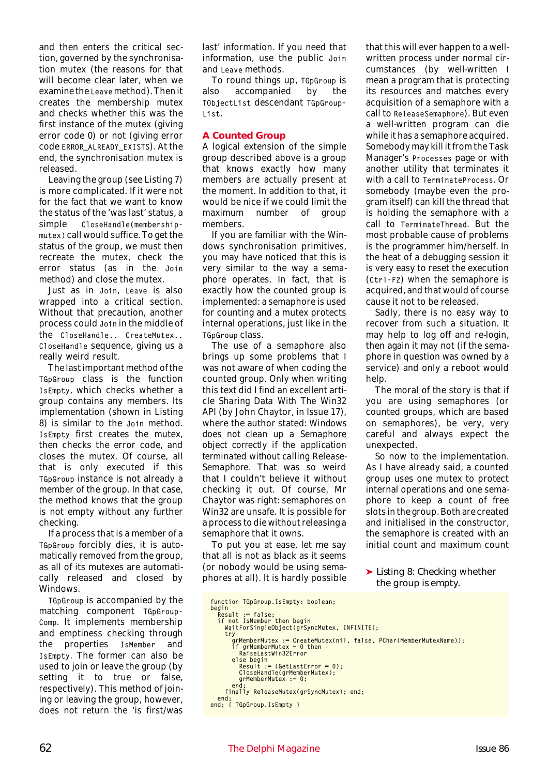and then enters the critical section, governed by the synchronisation mutex (the reasons for that will become clear later, when we examine the Leave method). Then it creates the membership mutex and checks whether this was the first instance of the mutex (giving error code 0) or not (giving error code ERROR\_ALREADY\_EXISTS). At the end, the synchronisation mutex is released.

Leaving the group (see Listing 7) is more complicated. If it were not for the fact that we want to know the status of the 'was last' status, a simple CloseHandle(membershipmutex) call would suffice. To get the status of the group, we must then recreate the mutex, check the error status (as in the Join method) and close the mutex.

Just as in Join, Leave is also wrapped into a critical section. Without that precaution, another process could Join in the middle of the CloseHandle.. CreateMutex.. CloseHandle sequence, giving us a really weird result.

The last important method of the TGpGroup class is the function IsEmpty, which checks whether a group contains any members. Its implementation (shown in Listing 8) is similar to the Join method. IsEmpty first creates the mutex, then checks the error code, and closes the mutex. Of course, all that is only executed if this TGpGroup instance is not already a member of the group. In that case, the method knows that the group is not empty without any further checking.

If a process that is a member of a TGpGroup forcibly dies, it is automatically removed from the group, as all of its mutexes are automatically released and closed by Windows.

TGpGroup is accompanied by the matching component TGpGroup-Comp. It implements membership and emptiness checking through the properties IsMember and IsEmpty. The former can also be used to join or leave the group (by setting it to true or false, respectively). This method of joining or leaving the group, however, does not return the 'is first/was

last' information. If you need that information, use the public Join and Leave methods.

To round things up, TGpGroup is also accompanied by the TObjectList descendant TGpGroup-List.

#### **A Counted Group**

A logical extension of the simple group described above is a group that knows exactly how many members are actually present at the moment. In addition to that, it would be nice if we could limit the maximum number of group members.

If you are familiar with the Windows synchronisation primitives, you may have noticed that this is very similar to the way a *semaphore* operates. In fact, that is exactly how the counted group is implemented: a semaphore is used for counting and a mutex protects internal operations, just like in the TGpGroup class.

The use of a semaphore also brings up some problems that I was not aware of when coding the counted group. Only when writing this text did I find an excellent article *Sharing Data With The Win32 API* (by John Chaytor, in Issue 17), where the author stated: *Windows does not clean up a Semaphore object correctly if the application terminated without calling Release-Semaphore.* That was so weird that I couldn't believe it without checking it out. Of course, Mr Chaytor was right: semaphores on Win32 are unsafe. It is possible for a process to die without releasing a semaphore that it owns.

To put you at ease, let me say that all is not as black as it seems (or nobody would be using semaphores at all). It is hardly possible

that this will ever happen to a wellwritten process under normal circumstances (by well-written I mean a program that is protecting its resources and matches every acquisition of a semaphore with a call to ReleaseSemaphore). But even a well-written program can die while it has a semaphore acquired. Somebody may kill it from the Task Manager's Processes page or with another utility that terminates it with a call to TerminateProcess. Or somebody (maybe even the program itself) can kill the thread that is holding the semaphore with a call to TerminateThread. But the most probable cause of problems is the programmer him/herself. In the heat of a debugging session it is very easy to reset the execution (Ctrl-F2) when the semaphore is acquired, and that would of course cause it not to be released.

Sadly, there is no easy way to recover from such a situation. It may help to log off and re-login, then again it may not (if the semaphore in question was owned by a service) and only a reboot would help.

The moral of the story is that if you are using semaphores (or counted groups, which are based on semaphores), be very, very careful and always expect the unexpected.

So now to the implementation. As I have already said, a counted group uses one mutex to protect internal operations and one semaphore to keep a count of free slots in the group. Both are created and initialised in the constructor, the semaphore is created with an initial count and maximum count

➤ *Listing 8: Checking whether the group is empty.*

```
function TGpGroup.IsEmpty: boolean;
begin
   Result := false;
if not IsMember then begin
WaitForSingleObject(grSyncMutex, INFINITE);
try
          grMemberMutex := CreateMutex(nil, false, PChar(MemberMutexName));<br>if grMemberMutex = 0 then
          RaiseLastWin32Error<br>else begin<br>Result := (GetLastError = 0);<br>CloseHandle(grMemberMutex);<br>grMemberMutex := 0;
          end;
      finally ReleaseMutex(grSyncMutex); end;
end;
end; { TGpGroup.IsEmpty }
```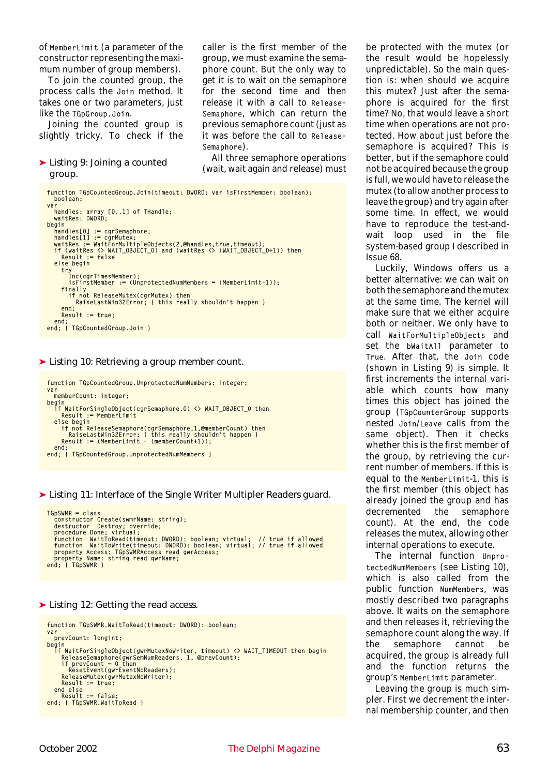of MemberLimit (a parameter of the constructor representing the maximum number of group members).

To join the counted group, the process calls the Join method. It takes one or two parameters, just like the TGpGroup.Join.

Joining the counted group is slightly tricky. To check if the

#### ➤ *Listing 9: Joining a counted group.*

function TGpCountedGroup.Join(timeout: DWORD; var isFirstMember: boolean): boolean; var handles: array [0..1] of THandle; waitRes: DWORD; begin handles[0] := cgrSemaphore;<br>handles[1] := cgrMutex;<br>waitRes := WaitForMultipleObjects(2,@handles,true,timeout); if (waitRes <> WAIT\_OBJECT\_0) and (waitRes <> (WAIT\_OBJECT\_0+1)) then Result := false else begin try Inc(cgrTimesMember); isFirstMember := (UnprotectedNumMembers = (MemberLimit-1)); finally if not ReleaseMutex(cgrMutex) then RaiseLastWin32Error; { this really shouldn't happen } end; Result := true; end; end; { TGpCountedGroup.Join }

#### ➤ *Listing 10: Retrieving a group member count.*

function TGpCountedGroup.UnprotectedNumMembers: integer; var memberCount: integer; begin if WaitForSingleObject(cgrSemaphore,0) <> WAIT\_OBJECT\_0 then Result := MemberLimit else begin if not ReleaseSemaphore(cgrSemaphore,1,@memberCount) then RaiseLastWin32Error; { this really shouldn't happen } Result := (MemberLimit - (memberCount+1)); end; end; { TGpCountedGroup.UnprotectedNumMembers }

➤ *Listing 11: Interface of the Single Writer Multipler Readers guard.*

```
TGpSWMR = class<br>constructor Create(swmrName: string);<br>destructor Destroy; override;<br>procedure Done; virtual;<br>function WaitToRead(timeout: DWORD): boolean; virtual; // true if allowed<br>function WaitToWrite(timeout: DWORD): b
end; { TGpSWMR }
```
#### ➤ *Listing 12: Getting the read access.*

```
function TGpSWMR.WaitToRead(timeout: DWORD): boolean;
var
   prevCount: longint;
begin<br>if WaitForSingleObject(gwrMutexNoWriter, timeout) <> WAIT_TIMEOUT then begin<br>ReleaseSemaphore(gwrSemNumReaders, 1, @prevCount);<br>if prevCount = 0 then<br>ResetEvent(gwrEventNoReaders);<br>ReleaseMutex(gwrMutexNoWriter);
       ReleaseMutex(gwrMutexNoWriter);<br>Result := true:
   end else
       Result := false;end; { TGpSWMR.WaitToRead }
```
be protected with the mutex (or the result would be hopelessly unpredictable). So the main question is: when should we acquire this mutex? Just after the semaphore is acquired for the first time? No, that would leave a short time when operations are not protected. How about just before the semaphore is acquired? This is better, but if the semaphore could not be acquired because the group is full, we would have to release the mutex (to allow another process to leave the group) and try again after some time. In effect, we would have to reproduce the test-andwait loop used in the file system-based group I described in Issue 68.

Luckily, Windows offers us a better alternative: we can wait on both the semaphore and the mutex at the same time. The kernel will make sure that we either acquire both or neither. We only have to call WaitForMultipleObjects and set the bWaitAll parameter to True. After that, the Join code (shown in Listing 9) is simple. It first increments the internal variable which counts how many times this object has joined the group (TGpCounterGroup supports nested Join/Leave calls from the same object). Then it checks whether this is the first member of the group, by retrieving the current number of members. If this is equal to the MemberLimit-1, this is the first member (this object has already joined the group and has decremented the semaphore count). At the end, the code releases the mutex, allowing other internal operations to execute.

The internal function UnprotectedNumMembers (see Listing 10), which is also called from the public function NumMembers, was mostly described two paragraphs above. It waits on the semaphore and then releases it, retrieving the semaphore count along the way. If the semaphore cannot be acquired, the group is already full and the function returns the group's MemberLimit parameter.

Leaving the group is much simpler. First we decrement the internal membership counter, and then

caller is the first member of the group, we must examine the semaphore count. But the only way to get it is to wait on the semaphore for the second time and then release it with a call to Release-Semaphore, which can return the previous semaphore count (just as it was before the call to Release-

All three semaphore operations (wait, wait again and release) must

Semaphore).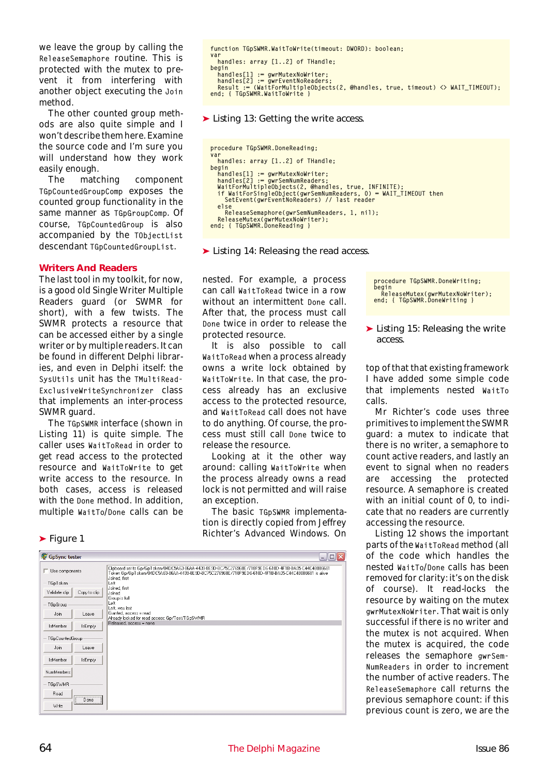we leave the group by calling the ReleaseSemaphore routine. This is protected with the mutex to prevent it from interfering with another object executing the Join method.

The other counted group methods are also quite simple and I won't describe them here. Examine the source code and I'm sure you will understand how they work easily enough.

The matching component TGpCountedGroupComp exposes the counted group functionality in the same manner as TGpGroupComp. Of course, TGpCountedGroup is also accompanied by the TObjectList descendant TGpCountedGroupList.

#### **Writers And Readers**

The last tool in my toolkit, for now, is a good old Single Writer Multiple Readers guard (or SWMR for short), with a few twists. The SWMR protects a resource that can be accessed either by a single writer or by multiple readers. It can be found in different Delphi libraries, and even in Delphi itself: the SysUtils unit has the TMultiRead-ExclusiveWriteSynchronizer class that implements an inter-process SWMR guard.

The TGpSWMR interface (shown in Listing 11) is quite simple. The caller uses WaitToRead in order to get read access to the protected resource and WaitToWrite to get write access to the resource. In both cases, access is released with the Done method. In addition, multiple WaitTo/Done calls can be

#### ➤ *Figure 1*

| GpSync tester   |                | $\Box$<br>m.                                                                                                                                                                                                                  |
|-----------------|----------------|-------------------------------------------------------------------------------------------------------------------------------------------------------------------------------------------------------------------------------|
| Use components  |                | Clipboard set to Gp/GpToken/04DC5A63-86AA-4439-8E9D-BC75C276968E/718F9ED6-610D-4F1B-BA05-C44C48086681<br>Token Gp/GpToken/04DC5A63-86AA-4439-8E9D-BC75C276968E/718F9ED6-610D-4F1B-BA05-C44C48086681 is alive<br>Joined, first |
| TGpToken        |                | Left                                                                                                                                                                                                                          |
| Validate clip   | Copy to clip   | Joined, first<br>Joined<br>Group is full                                                                                                                                                                                      |
| TGpGroup        |                | Left<br>Left, was last                                                                                                                                                                                                        |
| Join            | Leave          | Granted, access = read<br>Already locked for read access: Gp/Test/TGpSWMR                                                                                                                                                     |
| IsMember        | <b>IsEmpty</b> | Released, access = none                                                                                                                                                                                                       |
| TGpCountedGroup |                |                                                                                                                                                                                                                               |
| Join            | Leave          |                                                                                                                                                                                                                               |
| IsMember        | <b>IsEmpty</b> |                                                                                                                                                                                                                               |
| NumMembers      |                |                                                                                                                                                                                                                               |
| TGpSWMR         |                |                                                                                                                                                                                                                               |
| Read            | Done           |                                                                                                                                                                                                                               |
| Write           |                |                                                                                                                                                                                                                               |

```
function TGpSWMR.WaitToWrite(timeout: DWORD): boolean;
var
  handles: array [1..2] of THandle;
begin
handles[1] := gwrMutexNoWriter;
handles[2] := gwrEventNoReaders;
__Result := (WaitForMultipleObjects(2, @handles, true, timeout) <> WAIT_TIMEOUT);<br>end; {        TGpSWMR.WaitToWrite }
```
➤ *Listing 13: Getting the write access.*

```
procedure TGpSWMR.DoneReading;
var
handles: array [1..2] of THandle;
begin
    handles[1] := gwrMutexNoWriter;<br>handles[2] := gwrSemNumReaders;<br>WaitForMultipleObjects(2, @handles, true, INFINITE);<br>VaitForSingleObject(gwrSemNumReaders, O) = WAIT_TIMEOUT then<br>SetEvent(gwrEventNoReaders) // last reader<br>e
       ReleaseSemaphore(gwrSemNumReaders, 1, nil);
   ReleaseMutex(gwrMutexNoWriter);
end: { TGpSWMR.DoneReading }
```
➤ *Listing 14: Releasing the read access.*

nested. For example, a process can call WaitToRead twice in a row without an intermittent Done call. After that, the process must call Done twice in order to release the protected resource.

It is also possible to call WaitToRead when a process already owns a write lock obtained by WaitToWrite. In that case, the process already has an exclusive access to the protected resource, and WaitToRead call does not have to do anything. Of course, the process must still call Done twice to release the resource.

Looking at it the other way around: calling WaitToWrite when the process already owns a read lock is not permitted and will raise an exception.

The basic TGpSWMR implementation is directly copied from Jeffrey Richter's *Advanced Windows*. On procedure TGpSWMR.DoneWriting; begin ReleaseMutex(gwrMutexNoWriter); end; { TGpSWMR.DoneWriting }

#### ➤ *Listing 15: Releasing the write access.*

top of that that existing framework I have added some simple code that implements nested WaitTo calls.

Mr Richter's code uses three primitives to implement the SWMR guard: a mutex to indicate that there is no writer, a semaphore to count active readers, and lastly an event to signal when no readers are accessing the protected resource. A semaphore is created with an initial count of 0, to indicate that no readers are currently accessing the resource.

Listing 12 shows the important parts of the WaitToRead method (all of the code which handles the nested WaitTo/Done calls has been removed for clarity: it's on the disk of course). It read-locks the resource by waiting on the mutex gwrMutexNoWriter. That wait is only successful if there is no writer and the mutex is not acquired. When the mutex is acquired, the code releases the semaphore gwrSem-NumReaders in order to increment the number of active readers. The ReleaseSemaphore call returns the previous semaphore count: if this previous count is zero, we are the